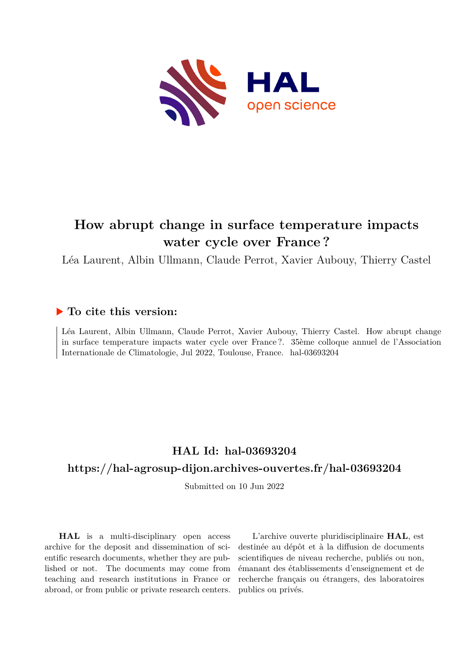

# **How abrupt change in surface temperature impacts water cycle over France ?**

Léa Laurent, Albin Ullmann, Claude Perrot, Xavier Aubouy, Thierry Castel

## **To cite this version:**

Léa Laurent, Albin Ullmann, Claude Perrot, Xavier Aubouy, Thierry Castel. How abrupt change in surface temperature impacts water cycle over France ?. 35ème colloque annuel de l'Association Internationale de Climatologie, Jul 2022, Toulouse, France. hal-03693204

## **HAL Id: hal-03693204 <https://hal-agrosup-dijon.archives-ouvertes.fr/hal-03693204>**

Submitted on 10 Jun 2022

**HAL** is a multi-disciplinary open access archive for the deposit and dissemination of scientific research documents, whether they are published or not. The documents may come from teaching and research institutions in France or abroad, or from public or private research centers.

L'archive ouverte pluridisciplinaire **HAL**, est destinée au dépôt et à la diffusion de documents scientifiques de niveau recherche, publiés ou non, émanant des établissements d'enseignement et de recherche français ou étrangers, des laboratoires publics ou privés.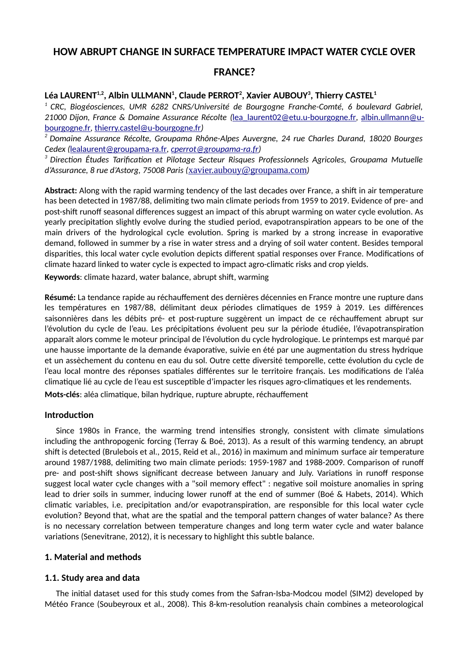## **HOW ABRUPT CHANGE IN SURFACE TEMPERATURE IMPACT WATER CYCLE OVER**

## **FRANCE?**

## **Léa LAURENT1,2, Albin ULLMANN<sup>1</sup> , Claude PERROT<sup>2</sup> , Xavier AUBOUY<sup>3</sup> , Thierry CASTEL<sup>1</sup>**

*<sup>1</sup>CRC, Biogéosciences, UMR 6282 CNRS/Université de Bourgogne Franche-Comté, 6 boulevard Gabriel, 21000 Dijon, France & Domaine Assurance Récolte (*[lea\\_laurent02@etu.u-bourgogne.fr](mailto:lea_laurent02@etu.u-bourgogne.fr)*,* [albin.ullmann@u](mailto:albin.ullmann@u-bourgogne.fr)[bourgogne.fr](mailto:albin.ullmann@u-bourgogne.fr)*,* [thierry.castel@u-bourgogne.fr](mailto:thierry.castel@u-bourgogne.fr)*)*

*<sup>2</sup>Domaine Assurance Récolte, Groupama Rhône-Alpes Auvergne, 24 rue Charles Durand, 18020 Bourges Cedex (*[lealaurent@groupama-ra.fr](mailto:lealaurent@groupama-ra.fr)*, [cperrot@groupama-ra.fr](mailto:cperrot@groupama-ra.fr))*

*<sup>3</sup>Direction Études Tarification et Pilotage Secteur Risques Professionnels Agricoles, Groupama Mutuelle d'Assurance, 8 rue d'Astorg, 75008 Paris (*[xavier.aubouy@groupama.com](mailto:xavier.aubouy@groupama.com)*)*

**Abstract:** Along with the rapid warming tendency of the last decades over France, a shift in air temperature has been detected in 1987/88, delimiting two main climate periods from 1959 to 2019. Evidence of pre- and post-shift runoff seasonal differences suggest an impact of this abrupt warming on water cycle evolution. As yearly precipitation slightly evolve during the studied period, evapotranspiration appears to be one of the main drivers of the hydrological cycle evolution. Spring is marked by a strong increase in evaporative demand, followed in summer by a rise in water stress and a drying of soil water content. Besides temporal disparities, this local water cycle evolution depicts different spatial responses over France. Modifications of climate hazard linked to water cycle is expected to impact agro-climatic risks and crop yields.

**Keywords**: climate hazard, water balance, abrupt shift, warming

**Résumé:** La tendance rapide au réchauffement des dernières décennies en France montre une rupture dans les températures en 1987/88, délimitant deux périodes climatiques de 1959 à 2019. Les différences saisonnières dans les débits pré- et post-rupture suggèrent un impact de ce réchauffement abrupt sur l'évolution du cycle de l'eau. Les précipitations évoluent peu sur la période étudiée, l'évapotranspiration apparaît alors comme le moteur principal de l'évolution du cycle hydrologique. Le printemps est marqué par une hausse importante de la demande évaporative, suivie en été par une augmentation du stress hydrique et un assèchement du contenu en eau du sol. Outre cette diversité temporelle, cette évolution du cycle de l'eau local montre des réponses spatiales différentes sur le territoire français. Les modifications de l'aléa climatique lié au cycle de l'eau est susceptible d'impacter les risques agro-climatiques et les rendements. **Mots-clés**: aléa climatique, bilan hydrique, rupture abrupte, réchauffement

### **Introduction**

Since 1980s in France, the warming trend intensifies strongly, consistent with climate simulations including the anthropogenic forcing (Terray & Boé, 2013). As a result of this warming tendency, an abrupt shift is detected (Brulebois et al., 2015, Reid et al., 2016) in maximum and minimum surface air temperature around 1987/1988, delimiting two main climate periods: 1959-1987 and 1988-2009. Comparison of runoff pre- and post-shift shows significant decrease between January and July. Variations in runoff response suggest local water cycle changes with a "soil memory effect" : negative soil moisture anomalies in spring lead to drier soils in summer, inducing lower runoff at the end of summer (Boé & Habets, 2014). Which climatic variables, i.e. precipitation and/or evapotranspiration, are responsible for this local water cycle evolution? Beyond that, what are the spatial and the temporal pattern changes of water balance? As there is no necessary correlation between temperature changes and long term water cycle and water balance variations (Senevitrane, 2012), it is necessary to highlight this subtle balance.

### **1. Material and methods**

#### **1.1. Study area and data**

The initial dataset used for this study comes from the Safran-Isba-Modcou model (SIM2) developed by Météo France (Soubeyroux et al., 2008). This 8-km-resolution reanalysis chain combines a meteorological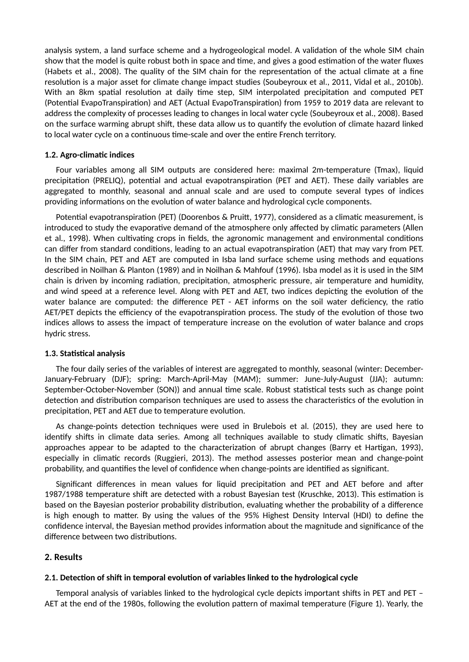analysis system, a land surface scheme and a hydrogeological model. A validation of the whole SIM chain show that the model is quite robust both in space and time, and gives a good estimation of the water fluxes (Habets et al., 2008). The quality of the SIM chain for the representation of the actual climate at a fine resolution is a major asset for climate change impact studies (Soubeyroux et al., 2011, Vidal et al., 2010b). With an 8km spatial resolution at daily time step, SIM interpolated precipitation and computed PET (Potential EvapoTranspiration) and AET (Actual EvapoTranspiration) from 1959 to 2019 data are relevant to address the complexity of processes leading to changes in local water cycle (Soubeyroux et al., 2008). Based on the surface warming abrupt shift, these data allow us to quantify the evolution of climate hazard linked to local water cycle on a continuous time-scale and over the entire French territory.

#### **1.2. Agro-climatic indices**

Four variables among all SIM outputs are considered here: maximal 2m-temperature (Tmax), liquid precipitation (PRELIQ), potential and actual evapotranspiration (PET and AET). These daily variables are aggregated to monthly, seasonal and annual scale and are used to compute several types of indices providing informations on the evolution of water balance and hydrological cycle components.

Potential evapotranspiration (PET) (Doorenbos & Pruitt, 1977), considered as a climatic measurement, is introduced to study the evaporative demand of the atmosphere only affected by climatic parameters (Allen et al., 1998). When cultivating crops in fields, the agronomic management and environmental conditions can differ from standard conditions, leading to an actual evapotranspiration (AET) that may vary from PET. In the SIM chain, PET and AET are computed in Isba land surface scheme using methods and equations described in Noilhan & Planton (1989) and in Noilhan & Mahfouf (1996). Isba model as it is used in the SIM chain is driven by incoming radiation, precipitation, atmospheric pressure, air temperature and humidity, and wind speed at a reference level. Along with PET and AET, two indices depicting the evolution of the water balance are computed: the difference PET - AET informs on the soil water deficiency, the ratio AET/PET depicts the efficiency of the evapotranspiration process. The study of the evolution of those two indices allows to assess the impact of temperature increase on the evolution of water balance and crops hydric stress.

#### **1.3. Statistical analysis**

The four daily series of the variables of interest are aggregated to monthly, seasonal (winter: December-January-February (DJF); spring: March-April-May (MAM); summer: June-July-August (JJA); autumn: September-October-November (SON)) and annual time scale. Robust statistical tests such as change point detection and distribution comparison techniques are used to assess the characteristics of the evolution in precipitation, PET and AET due to temperature evolution.

As change-points detection techniques were used in Brulebois et al. (2015), they are used here to identify shifts in climate data series. Among all techniques available to study climatic shifts, Bayesian approaches appear to be adapted to the characterization of abrupt changes (Barry et Hartigan, 1993), especially in climatic records (Ruggieri, 2013). The method assesses posterior mean and change-point probability, and quantifies the level of confidence when change-points are identified as significant.

Significant differences in mean values for liquid precipitation and PET and AET before and after 1987/1988 temperature shift are detected with a robust Bayesian test (Kruschke, 2013). This estimation is based on the Bayesian posterior probability distribution, evaluating whether the probability of a difference is high enough to matter. By using the values of the 95% Highest Density Interval (HDI) to define the confidence interval, the Bayesian method provides information about the magnitude and significance of the difference between two distributions.

#### **2. Results**

#### **2.1. Detection of shift in temporal evolution of variables linked to the hydrological cycle**

Temporal analysis of variables linked to the hydrological cycle depicts important shifts in PET and PET – AET at the end of the 1980s, following the evolution pattern of maximal temperature (Figure 1). Yearly, the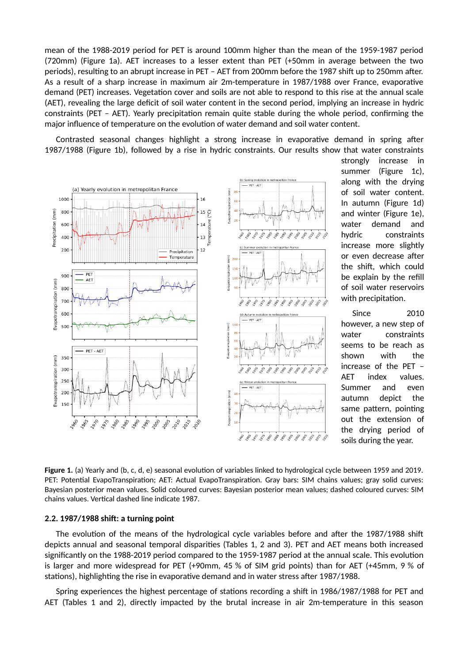mean of the 1988-2019 period for PET is around 100mm higher than the mean of the 1959-1987 period (720mm) (Figure 1a). AET increases to a lesser extent than PET (+50mm in average between the two periods), resulting to an abrupt increase in PET – AET from 200mm before the 1987 shift up to 250mm after. As a result of a sharp increase in maximum air 2m-temperature in 1987/1988 over France, evaporative demand (PET) increases. Vegetation cover and soils are not able to respond to this rise at the annual scale (AET), revealing the large deficit of soil water content in the second period, implying an increase in hydric constraints (PET – AET). Yearly precipitation remain quite stable during the whole period, confirming the major influence of temperature on the evolution of water demand and soil water content.

Contrasted seasonal changes highlight a strong increase in evaporative demand in spring after 1987/1988 (Figure 1b), followed by a rise in hydric constraints. Our results show that water constraints



strongly increase in summer (Figure 1c). along with the drying of soil water content. In autumn (Figure 1d) and winter (Figure 1e), water demand and hydric constraints increase more slightly or even decrease after the shift, which could be explain by the refill of soil water reservoirs with precipitation.

Since 2010 however, a new step of water constraints seems to be reach as shown with the increase of the PET – AET index values. Summer and even autumn depict the same pattern, pointing out the extension of the drying period of soils during the year.

**Figure 1.** (a) Yearly and (b, c, d, e) seasonal evolution of variables linked to hydrological cycle between 1959 and 2019. PET: Potential EvapoTranspiration; AET: Actual EvapoTranspiration. Gray bars: SIM chains values; gray solid curves: Bayesian posterior mean values. Solid coloured curves: Bayesian posterior mean values; dashed coloured curves: SIM chains values. Vertical dashed line indicate 1987.

#### **2.2. 1987/1988 shift: a turning point**

The evolution of the means of the hydrological cycle variables before and after the 1987/1988 shift depicts annual and seasonal temporal disparities (Tables 1, 2 and 3). PET and AET means both increased significantly on the 1988-2019 period compared to the 1959-1987 period at the annual scale. This evolution is larger and more widespread for PET (+90mm, 45 % of SIM grid points) than for AET (+45mm, 9 % of stations), highlighting the rise in evaporative demand and in water stress after 1987/1988.

Spring experiences the highest percentage of stations recording a shift in 1986/1987/1988 for PET and AET (Tables 1 and 2), directly impacted by the brutal increase in air 2m-temperature in this season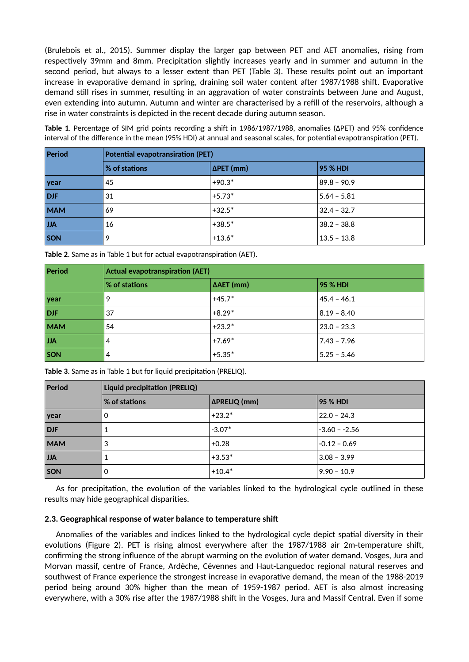(Brulebois et al., 2015). Summer display the larger gap between PET and AET anomalies, rising from respectively 39mm and 8mm. Precipitation slightly increases yearly and in summer and autumn in the second period, but always to a lesser extent than PET (Table 3). These results point out an important increase in evaporative demand in spring, draining soil water content after 1987/1988 shift. Evaporative demand still rises in summer, resulting in an aggravation of water constraints between June and August, even extending into autumn. Autumn and winter are characterised by a refill of the reservoirs, although a rise in water constraints is depicted in the recent decade during autumn season.

**Table 1**. Percentage of SIM grid points recording a shift in 1986/1987/1988, anomalies (ΔPET) and 95% confidence interval of the difference in the mean (95% HDI) at annual and seasonal scales, for potential evapotranspiration (PET).

| Period     | <b>Potential evapotransiration (PET)</b> |           |                 |  |
|------------|------------------------------------------|-----------|-----------------|--|
|            | % of stations                            | ΔPET (mm) | <b>95 % HDI</b> |  |
| year       | 45                                       | $+90.3*$  | $89.8 - 90.9$   |  |
| <b>DJF</b> | 31                                       | $+5.73*$  | $5.64 - 5.81$   |  |
| <b>MAM</b> | 69                                       | $+32.5*$  | $32.4 - 32.7$   |  |
| JJA        | 16                                       | $+38.5*$  | $38.2 - 38.8$   |  |
| SON        | 9                                        | $+13.6*$  | $13.5 - 13.8$   |  |

**Table 2**. Same as in Table 1 but for actual evapotranspiration (AET).

| Period     | <b>Actual evapotranspiration (AET)</b> |                   |                 |  |
|------------|----------------------------------------|-------------------|-----------------|--|
|            | $\frac{1}{2}$ of stations              | $\Delta$ AET (mm) | <b>95 % HDI</b> |  |
| year       | 9                                      | $+45.7*$          | $45.4 - 46.1$   |  |
| DJF        | 37                                     | $+8.29*$          | $8.19 - 8.40$   |  |
| <b>MAM</b> | 54                                     | $+23.2*$          | $23.0 - 23.3$   |  |
| <b>JJA</b> | 4                                      | $+7.69*$          | $7.43 - 7.96$   |  |
| SON        | 4                                      | $+5.35*$          | $5.25 - 5.46$   |  |

**Table 3**. Same as in Table 1 but for liquid precipitation (PRELIQ).

| Period     | Liquid precipitation (PRELIQ) |              |                 |  |
|------------|-------------------------------|--------------|-----------------|--|
|            | <b>% of stations</b>          | ΔPRELIQ (mm) | <b>95 % HDI</b> |  |
| year       | 0                             | $+23.2*$     | $22.0 - 24.3$   |  |
| <b>DJF</b> |                               | $-3.07*$     | $-3.60 - -2.56$ |  |
| <b>MAM</b> | 3                             | $+0.28$      | $-0.12 - 0.69$  |  |
| <b>JJA</b> |                               | $+3.53*$     | $3.08 - 3.99$   |  |
| SON        | 0                             | $+10.4*$     | $9.90 - 10.9$   |  |

As for precipitation, the evolution of the variables linked to the hydrological cycle outlined in these results may hide geographical disparities.

#### **2.3. Geographical response of water balance to temperature shift**

Anomalies of the variables and indices linked to the hydrological cycle depict spatial diversity in their evolutions (Figure 2). PET is rising almost everywhere after the 1987/1988 air 2m-temperature shift, confirming the strong influence of the abrupt warming on the evolution of water demand. Vosges, Jura and Morvan massif, centre of France, Ardèche, Cévennes and Haut-Languedoc regional natural reserves and southwest of France experience the strongest increase in evaporative demand, the mean of the 1988-2019 period being around 30% higher than the mean of 1959-1987 period. AET is also almost increasing everywhere, with a 30% rise after the 1987/1988 shift in the Vosges, Jura and Massif Central. Even if some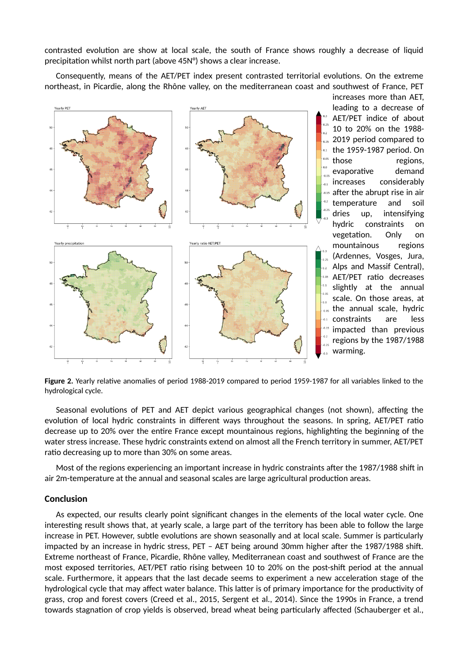contrasted evolution are show at local scale, the south of France shows roughly a decrease of liquid precipitation whilst north part (above 45N°) shows a clear increase.

Consequently, means of the AET/PET index present contrasted territorial evolutions. On the extreme northeast, in Picardie, along the Rhône valley, on the mediterranean coast and southwest of France, PET



increases more than AET, leading to a decrease of AET/PET indice of about 10 to 20% on the 1988- 2019 period compared to the 1959-1987 period. On those regions, evaporative demand increases considerably after the abrupt rise in air  $0.15$ temperature and soil dries up, intensifying hydric constraints on vegetation. Only on mountainous regions (Ardennes, Vosges, Jura, Alps and Massif Central), AET/PET ratio decreases slightly at the annual scale. On those areas, at **as the annual scale, hydric** constraints are less impacted than previous regions by the 1987/1988 warming.

**Figure 2.** Yearly relative anomalies of period 1988-2019 compared to period 1959-1987 for all variables linked to the hydrological cycle.

Seasonal evolutions of PET and AET depict various geographical changes (not shown), affecting the evolution of local hydric constraints in different ways throughout the seasons. In spring, AET/PET ratio decrease up to 20% over the entire France except mountainous regions, highlighting the beginning of the water stress increase. These hydric constraints extend on almost all the French territory in summer, AET/PET ratio decreasing up to more than 30% on some areas.

Most of the regions experiencing an important increase in hydric constraints after the 1987/1988 shift in air 2m-temperature at the annual and seasonal scales are large agricultural production areas.

#### **Conclusion**

As expected, our results clearly point significant changes in the elements of the local water cycle. One interesting result shows that, at yearly scale, a large part of the territory has been able to follow the large increase in PET. However, subtle evolutions are shown seasonally and at local scale. Summer is particularly impacted by an increase in hydric stress, PET – AET being around 30mm higher after the 1987/1988 shift. Extreme northeast of France, Picardie, Rhône valley, Mediterranean coast and southwest of France are the most exposed territories, AET/PET ratio rising between 10 to 20% on the post-shift period at the annual scale. Furthermore, it appears that the last decade seems to experiment a new acceleration stage of the hydrological cycle that may affect water balance. This latter is of primary importance for the productivity of grass, crop and forest covers (Creed et al., 2015, Sergent et al., 2014). Since the 1990s in France, a trend towards stagnation of crop yields is observed, bread wheat being particularly affected (Schauberger et al.,